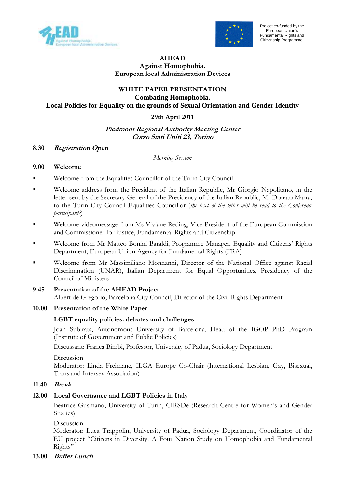



#### AHEAD

# Against Homophobia. European local Administration Devices

#### WHITE PAPER PRESENTATION **Combating Homophobia. Local Policies for Equality on the grounds of Sexual Orientation and Gender Identity**

### 29th April 2011

### Piedmont Regional Authority Meeting Center Corso Stati Uniti 23, Torino

### 8.30 Registration Open

Morning Session

### 9.00 Welcome

- Welcome from the Equalities Councillor of the Turin City Council
- Welcome address from the President of the Italian Republic, Mr Giorgio Napolitano, in the letter sent by the Secretary-General of the Presidency of the Italian Republic, Mr Donato Marra, to the Turin City Council Equalities Councillor (the text of the letter will be read to the Conference participants)
- **Welcome videomessage from Ms Viviane Reding, Vice President of the European Commission** and Commissioner for Justice, Fundamental Rights and Citizenship
- Welcome from Mr Matteo Bonini Baraldi, Programme Manager, Equality and Citizens' Rights Department, European Union Agency for Fundamental Rights (FRA)
- Welcome from Mr Massimiliano Monnanni, Director of the National Office against Racial Discrimination (UNAR), Italian Department for Equal Opportunities, Presidency of the Council of Ministers

# 9.45 Presentation of the AHEAD Project

Albert de Gregorio, Barcelona City Council, Director of the Civil Rights Department

# 10.00 Presentation of the White Paper

#### LGBT equality policies: debates and challenges

Joan Subirats, Autonomous University of Barcelona, Head of the IGOP PhD Program (Institute of Government and Public Policies)

Discussant: Franca Bimbi, Professor, University of Padua, Sociology Department

Discussion

 Moderator: Linda Freimane, ILGA Europe Co-Chair (International Lesbian, Gay, Bisexual, Trans and Intersex Association)

#### 11.40 Break

# 12.00 Local Governance and LGBT Policies in Italy

 Beatrice Gusmano, University of Turin, CIRSDe (Research Centre for Women's and Gender Studies)

Discussion

 Moderator: Luca Trappolin, University of Padua, Sociology Department, Coordinator of the EU project "Citizens in Diversity. A Four Nation Study on Homophobia and Fundamental Rights"